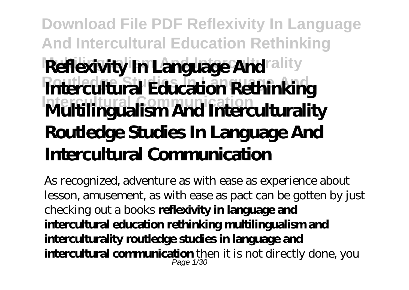# **Download File PDF Reflexivity In Language And Intercultural Education Rethinking Reflexivity In Language And ality** *Routledge State Education Rethinking* **Intercultural Communication Multilingualism And Interculturality Routledge Studies In Language And Intercultural Communication**

As recognized, adventure as with ease as experience about lesson, amusement, as with ease as pact can be gotten by just checking out a books **reflexivity in language and intercultural education rethinking multilingualism and interculturality routledge studies in language and intercultural communication** then it is not directly done, you Page 1/30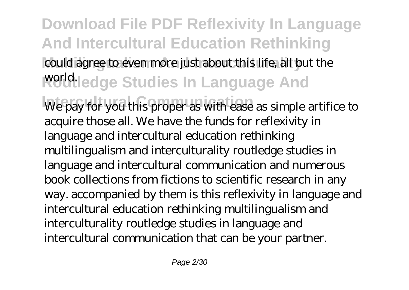**Download File PDF Reflexivity In Language And Intercultural Education Rethinking** could agree to even more just about this life, all but the **Roddledge Studies In Language And** We pay for you this proper as with ease as simple artifice to acquire those all. We have the funds for reflexivity in language and intercultural education rethinking multilingualism and interculturality routledge studies in language and intercultural communication and numerous book collections from fictions to scientific research in any way. accompanied by them is this reflexivity in language and intercultural education rethinking multilingualism and interculturality routledge studies in language and intercultural communication that can be your partner.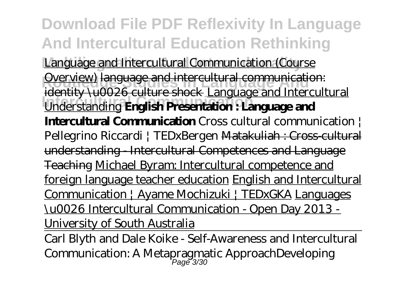**Download File PDF Reflexivity In Language And Intercultural Education Rethinking** Language and Intercultural Communication (Course **Counting Communication:**<br>
Overview) language and intercultural communication: **Intercultural Communication** Understanding **English Presentation : Language and** identity \u0026 culture shock Language and Intercultural **Intercultural Communication** Cross cultural communication | Pellegrino Riccardi | TEDxBergen Matakuliah : Cross-cultural understanding - Intercultural Competences and Language Teaching Michael Byram: Intercultural competence and foreign language teacher education English and Intercultural Communication | Ayame Mochizuki | TEDxGKA Languages \u0026 Intercultural Communication - Open Day 2013 - University of South Australia

Carl Blyth and Dale Koike - Self-Awareness and Intercultural Communication: A Metapragmatic Approach*Developing* Page 3/30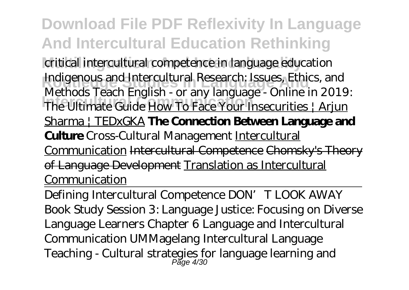**Download File PDF Reflexivity In Language And Intercultural Education Rethinking Multilingualism And Interculturality** *critical intercultural competence in language education Indigenous and Intercultural Research: Issues, Ethics, and* **Intercultural Communication** *The Ultimate Guide* How To Face Your Insecurities | Arjun *Methods Teach English - or any language - Online in 2019:* Sharma | TEDxGKA **The Connection Between Language and Culture** Cross-Cultural Management Intercultural Communication Intercultural Competence Chomsky's Theory of Language Development Translation as Intercultural Communication

Defining Intercultural Competence DON' T LOOK AWAY Book Study Session 3: Language Justice: Focusing on Diverse Language Learners Chapter 6 Language and Intercultural Communication UMMagelang Intercultural Language Teaching - Cultural strategies for language learning and Page 4/30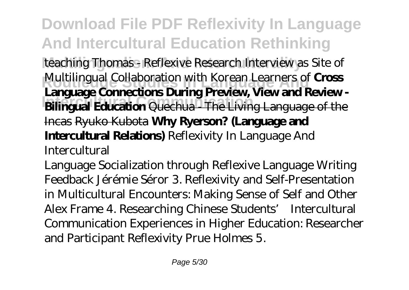**Download File PDF Reflexivity In Language And Intercultural Education Rethinking** teaching Thomas - Reflexive Research Interview as Site of **Multilingual Collaboration with Korean Learners of Cross Intercultural Communication Bilingual Education** Quechua - The Living Language of the **Language Connections During Preview, View and Review -** Incas Ryuko Kubota **Why Ryerson? (Language and Intercultural Relations)** *Reflexivity In Language And Intercultural*

Language Socialization through Reflexive Language Writing Feedback Jérémie Séror 3. Reflexivity and Self-Presentation in Multicultural Encounters: Making Sense of Self and Other Alex Frame 4. Researching Chinese Students' Intercultural Communication Experiences in Higher Education: Researcher and Participant Reflexivity Prue Holmes 5.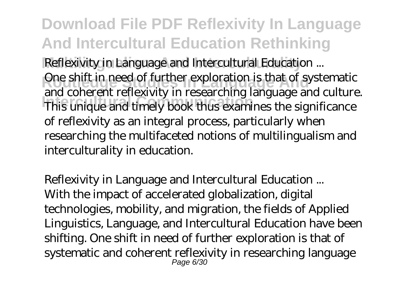**Download File PDF Reflexivity In Language And Intercultural Education Rethinking Reflexivity in Language and Intercultural Education ...** One shift in need of further exploration is that of systematic Intercultural Communication in the significance of this unique and timely book thus examines the significance and coherent reflexivity in researching language and culture. of reflexivity as an integral process, particularly when researching the multifaceted notions of multilingualism and interculturality in education.

*Reflexivity in Language and Intercultural Education ...* With the impact of accelerated globalization, digital technologies, mobility, and migration, the fields of Applied Linguistics, Language, and Intercultural Education have been shifting. One shift in need of further exploration is that of systematic and coherent reflexivity in researching language Page 6/30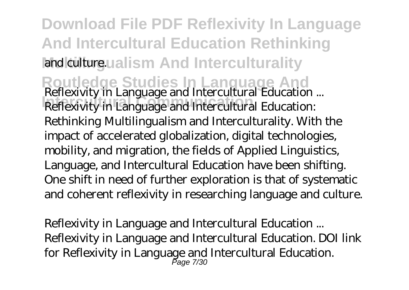**Download File PDF Reflexivity In Language And Intercultural Education Rethinking** and culturgualism And Interculturality **Routledge Studies In Language And** *Reflexivity in Language and Intercultural Education ...* **Intercultural Communication** Reflexivity in Language and Intercultural Education: Rethinking Multilingualism and Interculturality. With the impact of accelerated globalization, digital technologies, mobility, and migration, the fields of Applied Linguistics, Language, and Intercultural Education have been shifting. One shift in need of further exploration is that of systematic and coherent reflexivity in researching language and culture.

*Reflexivity in Language and Intercultural Education ...* Reflexivity in Language and Intercultural Education. DOI link for Reflexivity in Language and Intercultural Education. Page 7/30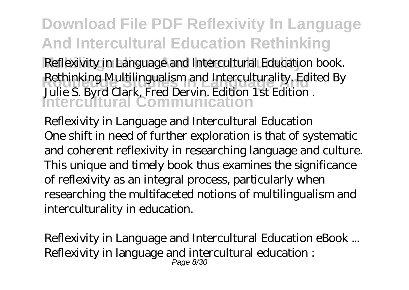**Download File PDF Reflexivity In Language And Intercultural Education Rethinking** Reflexivity in Language and Intercultural Education book. **Rethinking Multilingualism and Interculturality. Edited By Intercultural Communication** Julie S. Byrd Clark, Fred Dervin. Edition 1st Edition .

*Reflexivity in Language and Intercultural Education* One shift in need of further exploration is that of systematic and coherent reflexivity in researching language and culture. This unique and timely book thus examines the significance of reflexivity as an integral process, particularly when researching the multifaceted notions of multilingualism and interculturality in education.

*Reflexivity in Language and Intercultural Education eBook ...* Reflexivity in language and intercultural education :  $P$ age  $R/30$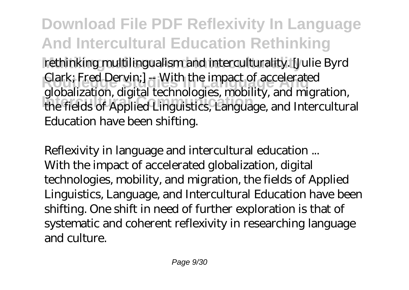**Download File PDF Reflexivity In Language And Intercultural Education Rethinking Multilingualism And Interculturality** rethinking multilingualism and interculturality. [Julie Byrd **Routledge Studies In Language And** Clark; Fred Dervin;] -- With the impact of accelerated **Intercultural Communication** the fields of Applied Linguistics, Language, and Intercultural globalization, digital technologies, mobility, and migration, Education have been shifting.

*Reflexivity in language and intercultural education ...* With the impact of accelerated globalization, digital technologies, mobility, and migration, the fields of Applied Linguistics, Language, and Intercultural Education have been shifting. One shift in need of further exploration is that of systematic and coherent reflexivity in researching language and culture.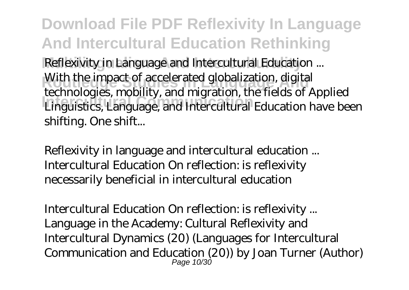**Download File PDF Reflexivity In Language And Intercultural Education Rethinking Reflexivity in Language and Intercultural Education ...** With the impact of accelerated globalization, digital<br>technologies and literated globalization, digital Linguistics, Language, and Intercultural Education have been technologies, mobility, and migration, the fields of Applied shifting. One shift...

*Reflexivity in language and intercultural education ...* Intercultural Education On reflection: is reflexivity necessarily beneficial in intercultural education

*Intercultural Education On reflection: is reflexivity ...* Language in the Academy: Cultural Reflexivity and Intercultural Dynamics (20) (Languages for Intercultural Communication and Education (20)) by Joan Turner (Author) Page 10/30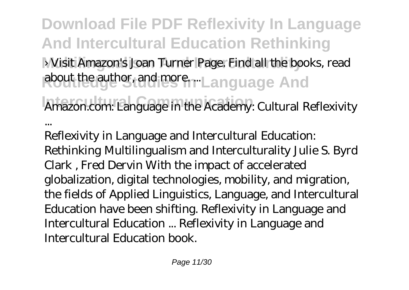**Download File PDF Reflexivity In Language And Intercultural Education Rethinking Multilingualism And Interculturality** › Visit Amazon's Joan Turner Page. Find all the books, read Rout the author, and more. Language And **Intercultural Communication** *Amazon.com: Language in the Academy: Cultural Reflexivity ...*

Reflexivity in Language and Intercultural Education: Rethinking Multilingualism and Interculturality Julie S. Byrd Clark , Fred Dervin With the impact of accelerated globalization, digital technologies, mobility, and migration, the fields of Applied Linguistics, Language, and Intercultural Education have been shifting. Reflexivity in Language and Intercultural Education ... Reflexivity in Language and Intercultural Education book.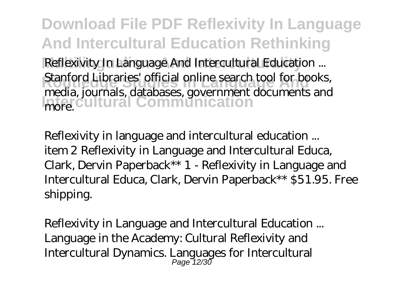**Download File PDF Reflexivity In Language And Intercultural Education Rethinking Reflexivity In Language And Intercultural Education ... Routledge Studies Studies Inc.**<br>**Routledge Studies Inc. Intercultural Communication** Stanford Libraries' official online search tool for books, media, journals, databases, government documents and more.

*Reflexivity in language and intercultural education ...* item 2 Reflexivity in Language and Intercultural Educa, Clark, Dervin Paperback\*\* 1 - Reflexivity in Language and Intercultural Educa, Clark, Dervin Paperback\*\* \$51.95. Free shipping.

*Reflexivity in Language and Intercultural Education ...* Language in the Academy: Cultural Reflexivity and Intercultural Dynamics. Languages for Intercultural Page 12/30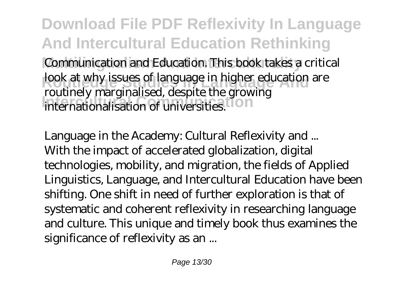**Download File PDF Reflexivity In Language And Intercultural Education Rethinking** Communication and Education. This book takes a critical **Rook at why issues of language in higher education are** Internationalisation of universities. routinely marginalised, despite the growing

*Language in the Academy: Cultural Reflexivity and ...* With the impact of accelerated globalization, digital technologies, mobility, and migration, the fields of Applied Linguistics, Language, and Intercultural Education have been shifting. One shift in need of further exploration is that of systematic and coherent reflexivity in researching language and culture. This unique and timely book thus examines the significance of reflexivity as an ...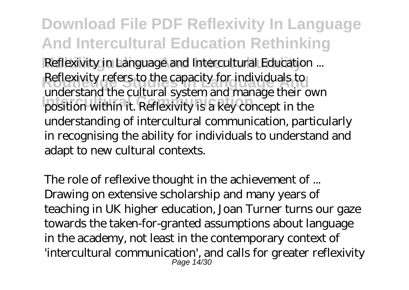**Download File PDF Reflexivity In Language And Intercultural Education Rethinking Reflexivity in Language and Intercultural Education ... Reflexivity refers to the capacity for individuals to Intercultural Communication** position within it. Reflexivity is a key concept in the understand the cultural system and manage their own understanding of intercultural communication, particularly in recognising the ability for individuals to understand and adapt to new cultural contexts.

*The role of reflexive thought in the achievement of ...* Drawing on extensive scholarship and many years of teaching in UK higher education, Joan Turner turns our gaze towards the taken-for-granted assumptions about language in the academy, not least in the contemporary context of 'intercultural communication', and calls for greater reflexivity Page 14/30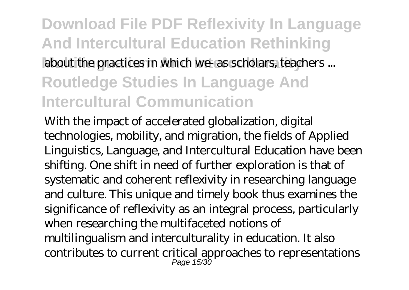### **Download File PDF Reflexivity In Language And Intercultural Education Rethinking** about the practices in which we- as scholars, teachers ... **Routledge Studies In Language And Intercultural Communication**

With the impact of accelerated globalization, digital technologies, mobility, and migration, the fields of Applied Linguistics, Language, and Intercultural Education have been shifting. One shift in need of further exploration is that of systematic and coherent reflexivity in researching language and culture. This unique and timely book thus examines the significance of reflexivity as an integral process, particularly when researching the multifaceted notions of multilingualism and interculturality in education. It also contributes to current critical approaches to representations Page 15/30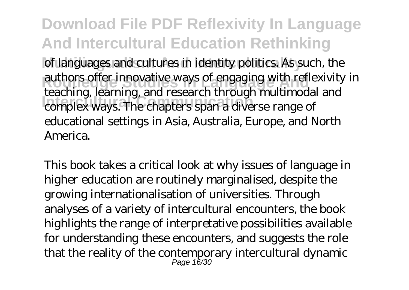**Download File PDF Reflexivity In Language And Intercultural Education Rethinking** of languages and cultures in identity politics. As such, the authors offer innovative ways of engaging with reflexivity in **Intercultural Communication** complex ways. The chapters span a diverse range of teaching, learning, and research through multimodal and educational settings in Asia, Australia, Europe, and North America.

This book takes a critical look at why issues of language in higher education are routinely marginalised, despite the growing internationalisation of universities. Through analyses of a variety of intercultural encounters, the book highlights the range of interpretative possibilities available for understanding these encounters, and suggests the role that the reality of the contemporary intercultural dynamic Page 16/30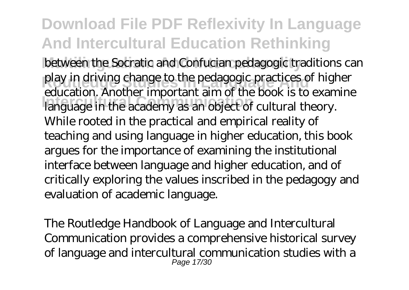## **Download File PDF Reflexivity In Language And Intercultural Education Rethinking**

between the Socratic and Confucian pedagogic traditions can play in driving change to the pedagogic practices of higher **Intercultural Communication** language in the academy as an object of cultural theory. education. Another important aim of the book is to examine While rooted in the practical and empirical reality of teaching and using language in higher education, this book argues for the importance of examining the institutional interface between language and higher education, and of critically exploring the values inscribed in the pedagogy and evaluation of academic language.

The Routledge Handbook of Language and Intercultural Communication provides a comprehensive historical survey of language and intercultural communication studies with a Page 17/30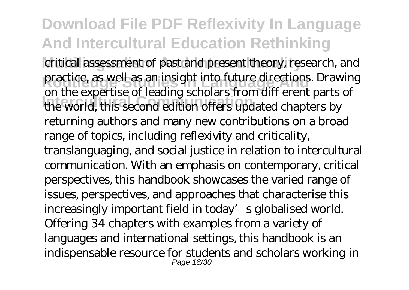**Download File PDF Reflexivity In Language And Intercultural Education Rethinking** critical assessment of past and present theory, research, and practice, as well as an insight into future directions. Drawing **Intercultural Communication** the world, this second edition offers updated chapters by on the expertise of leading scholars from diff erent parts of returning authors and many new contributions on a broad range of topics, including reflexivity and criticality, translanguaging, and social justice in relation to intercultural communication. With an emphasis on contemporary, critical perspectives, this handbook showcases the varied range of issues, perspectives, and approaches that characterise this increasingly important field in today's globalised world. Offering 34 chapters with examples from a variety of languages and international settings, this handbook is an indispensable resource for students and scholars working in **Page 18/30**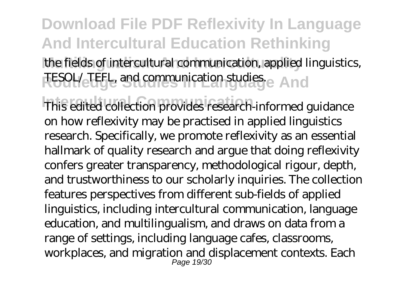### **Download File PDF Reflexivity In Language And Intercultural Education Rethinking** the fields of intercultural communication, applied linguistics,

TESOL/ TEFL, and communication studies. And

This edited collection provides research-informed guidance on how reflexivity may be practised in applied linguistics research. Specifically, we promote reflexivity as an essential hallmark of quality research and argue that doing reflexivity confers greater transparency, methodological rigour, depth, and trustworthiness to our scholarly inquiries. The collection features perspectives from different sub-fields of applied linguistics, including intercultural communication, language education, and multilingualism, and draws on data from a range of settings, including language cafes, classrooms, workplaces, and migration and displacement contexts. Each Page 19/30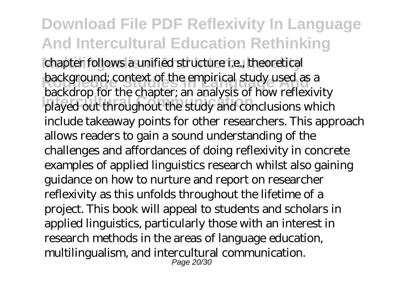**Download File PDF Reflexivity In Language And Intercultural Education Rethinking** chapter follows a unified structure i.e., theoretical **background**; context of the empirical study used as a **Internal Communication** Communication Communications which backdrop for the chapter; an analysis of how reflexivity include takeaway points for other researchers. This approach allows readers to gain a sound understanding of the challenges and affordances of doing reflexivity in concrete examples of applied linguistics research whilst also gaining guidance on how to nurture and report on researcher reflexivity as this unfolds throughout the lifetime of a project. This book will appeal to students and scholars in applied linguistics, particularly those with an interest in research methods in the areas of language education, multilingualism, and intercultural communication. Page 20/30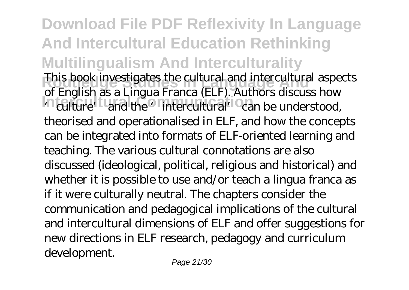**Download File PDF Reflexivity In Language And Intercultural Education Rethinking Multilingualism And Interculturality This book investigates the cultural and intercultural aspects** Intercultural Communication of the State of the Communication of the Communication of the Communication of the communication of the communication of the communication of the communication of the communication of the commun of English as a Lingua Franca (ELF). Authors discuss how theorised and operationalised in ELF, and how the concepts can be integrated into formats of ELF-oriented learning and teaching. The various cultural connotations are also discussed (ideological, political, religious and historical) and whether it is possible to use and/or teach a lingua franca as if it were culturally neutral. The chapters consider the communication and pedagogical implications of the cultural and intercultural dimensions of ELF and offer suggestions for new directions in ELF research, pedagogy and curriculum development.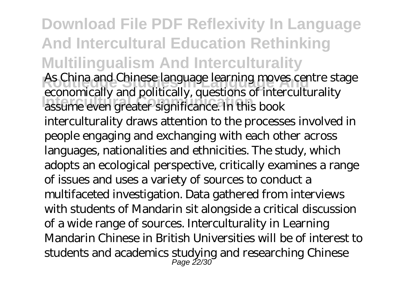**Download File PDF Reflexivity In Language And Intercultural Education Rethinking Multilingualism And Interculturality** As China and Chinese language learning moves centre stage **Internal Community and pointedary, questions of meetings** economically and politically, questions of interculturality interculturality draws attention to the processes involved in people engaging and exchanging with each other across languages, nationalities and ethnicities. The study, which adopts an ecological perspective, critically examines a range of issues and uses a variety of sources to conduct a multifaceted investigation. Data gathered from interviews with students of Mandarin sit alongside a critical discussion of a wide range of sources. Interculturality in Learning Mandarin Chinese in British Universities will be of interest to students and academics studying and researching Chinese Page 22/30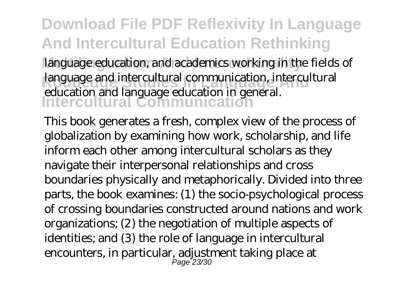#### **Download File PDF Reflexivity In Language And Intercultural Education Rethinking** language education, and academics working in the fields of **Routledge Studies In Language And** language and intercultural communication, intercultural **Intercultural Communication** education and language education in general.

This book generates a fresh, complex view of the process of globalization by examining how work, scholarship, and life inform each other among intercultural scholars as they navigate their interpersonal relationships and cross boundaries physically and metaphorically. Divided into three parts, the book examines: (1) the socio-psychological process of crossing boundaries constructed around nations and work organizations; (2) the negotiation of multiple aspects of identities; and (3) the role of language in intercultural encounters, in particular, adjustment taking place at Page 23/30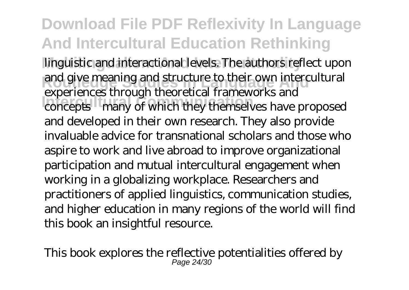**Download File PDF Reflexivity In Language And Intercultural Education Rethinking** linguistic and interactional levels. The authors reflect upon and give meaning and structure to their own intercultural **Intercultural Communication** concepts—many of which they themselves have proposed experiences through theoretical frameworks and and developed in their own research. They also provide invaluable advice for transnational scholars and those who aspire to work and live abroad to improve organizational participation and mutual intercultural engagement when working in a globalizing workplace. Researchers and practitioners of applied linguistics, communication studies, and higher education in many regions of the world will find this book an insightful resource.

This book explores the reflective potentialities offered by Page 24/30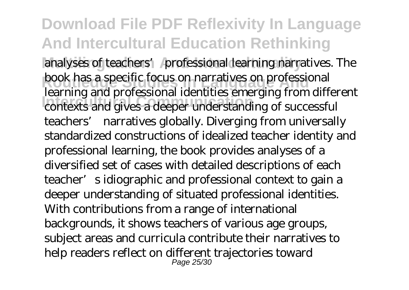**Download File PDF Reflexivity In Language And Intercultural Education Rethinking** analyses of teachers' professional learning narratives. The **book has a specific focus on narratives on professional Intercultural Communication** contexts and gives a deeper understanding of successful learning and professional identities emerging from different teachers' narratives globally. Diverging from universally standardized constructions of idealized teacher identity and professional learning, the book provides analyses of a diversified set of cases with detailed descriptions of each teacher's idiographic and professional context to gain a deeper understanding of situated professional identities. With contributions from a range of international backgrounds, it shows teachers of various age groups, subject areas and curricula contribute their narratives to help readers reflect on different trajectories toward Page 25/30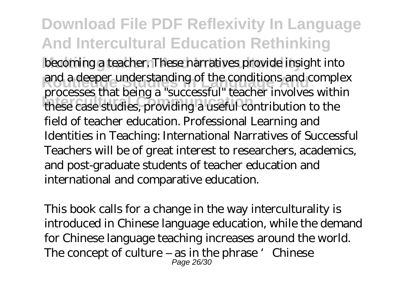**Download File PDF Reflexivity In Language And Intercultural Education Rethinking** becoming a teacher. These narratives provide insight into **Route 3 and a deeper understanding of the conditions and complex Intercultural Communication** these case studies, providing a useful contribution to the processes that being a "successful" teacher involves within field of teacher education. Professional Learning and Identities in Teaching: International Narratives of Successful Teachers will be of great interest to researchers, academics, and post-graduate students of teacher education and international and comparative education.

This book calls for a change in the way interculturality is introduced in Chinese language education, while the demand for Chinese language teaching increases around the world. The concept of culture – as in the phrase 'Chinese Page 26/30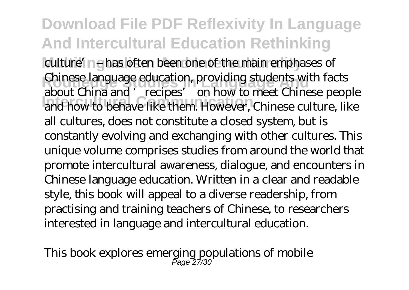#### **Download File PDF Reflexivity In Language And Intercultural Education Rethinking** culture' ne has often been one of the main emphases of **Chinese language education, providing students with facts Intercultural Communication** and how to behave like them. However, Chinese culture, like about China and 'recipes' on how to meet Chinese people all cultures, does not constitute a closed system, but is constantly evolving and exchanging with other cultures. This unique volume comprises studies from around the world that promote intercultural awareness, dialogue, and encounters in Chinese language education. Written in a clear and readable style, this book will appeal to a diverse readership, from practising and training teachers of Chinese, to researchers interested in language and intercultural education.

This book explores emerging populations of mobile Page 27/30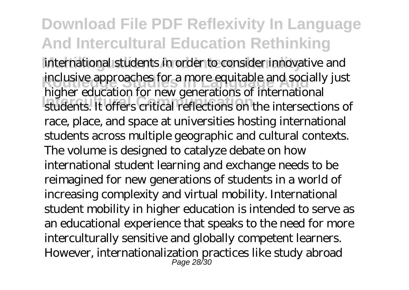**Download File PDF Reflexivity In Language And Intercultural Education Rethinking** international students in order to consider innovative and **inclusive approaches for a more equitable and socially just Intercultural Communication** students. It offers critical reflections on the intersections of higher education for new generations of international race, place, and space at universities hosting international students across multiple geographic and cultural contexts. The volume is designed to catalyze debate on how international student learning and exchange needs to be reimagined for new generations of students in a world of increasing complexity and virtual mobility. International student mobility in higher education is intended to serve as an educational experience that speaks to the need for more interculturally sensitive and globally competent learners. However, internationalization practices like study abroad Page 28/30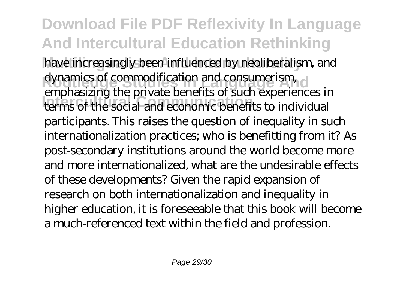**Download File PDF Reflexivity In Language And Intercultural Education Rethinking** have increasingly been influenced by neoliberalism, and dynamics of commodification and consumerism, **Intercultural Communication** terms of the social and economic benefits to individual emphasizing the private benefits of such experiences in participants. This raises the question of inequality in such internationalization practices; who is benefitting from it? As post-secondary institutions around the world become more and more internationalized, what are the undesirable effects of these developments? Given the rapid expansion of research on both internationalization and inequality in higher education, it is foreseeable that this book will become a much-referenced text within the field and profession.